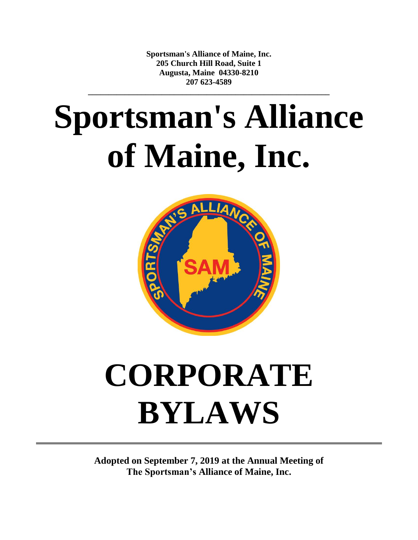**Sportsman's Alliance of Maine, Inc. 205 Church Hill Road, Suite 1 Augusta, Maine 04330-8210 207 623-4589**

**\_\_\_\_\_\_\_\_\_\_\_\_\_\_\_\_\_\_\_\_\_\_\_\_\_\_\_\_\_\_\_\_\_\_\_\_\_\_\_\_\_\_\_\_\_\_\_\_\_\_\_\_\_\_\_\_\_\_\_**

# **Sportsman's Alliance of Maine, Inc.**



## **CORPORATE BYLAWS**

**Adopted on September 7, 2019 at the Annual Meeting of The Sportsman's Alliance of Maine, Inc.**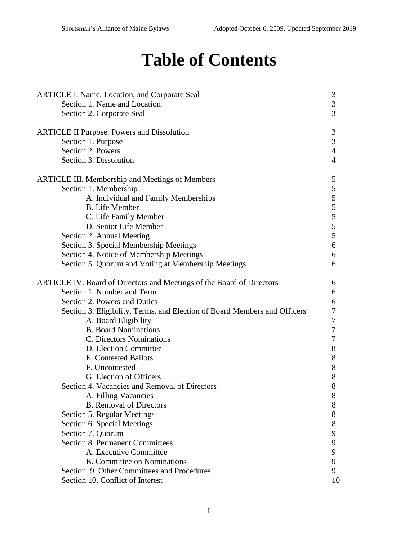### **Table of Contents**

| <b>ARTICLE I. Name. Location, and Corporate Seal</b>                      | 3              |
|---------------------------------------------------------------------------|----------------|
| Section 1. Name and Location<br>Section 2. Corporate Seal                 | 3<br>3         |
| <b>ARTICLE II Purpose. Powers and Dissolution</b>                         | $\mathfrak{Z}$ |
| Section 1. Purpose                                                        | 3              |
| Section 2. Powers                                                         | $\overline{4}$ |
| Section 3. Dissolution                                                    | $\overline{4}$ |
| <b>ARTICLE III. Membership and Meetings of Members</b>                    | 5              |
| Section 1. Membership                                                     | 5              |
| A. Individual and Family Memberships                                      | 5              |
| <b>B.</b> Life Member                                                     | 5              |
| C. Life Family Member                                                     | 5              |
| D. Senior Life Member                                                     | 5              |
| Section 2. Annual Meeting                                                 | 5              |
| Section 3. Special Membership Meetings                                    | 6              |
| Section 4. Notice of Membership Meetings                                  | 6              |
| Section 5. Quorum and Voting at Membership Meetings                       | 6              |
| ARTICLE IV. Board of Directors and Meetings of the Board of Directors     | 6              |
| Section 1. Number and Term                                                | 6              |
| Section 2. Powers and Duties                                              | 6              |
| Section 3. Eligibility, Terms, and Election of Board Members and Officers | 7              |
| A. Board Eligibility                                                      | 7              |
| <b>B.</b> Board Nominations                                               | 7              |
| C. Directors Nominations                                                  | 7              |
| D. Election Committee                                                     | $8\,$          |
| E. Contested Ballots                                                      | 8              |
| F. Uncontested                                                            | $8\,$          |
| G. Election of Officers                                                   | 8              |
| Section 4. Vacancies and Removal of Directors                             | 8              |
| A. Filling Vacancies                                                      | 8              |
| <b>B.</b> Removal of Directors                                            | 8              |
| Section 5. Regular Meetings                                               | 8              |
| Section 6. Special Meetings                                               | 8              |
| Section 7. Quorum                                                         | 9              |
| <b>Section 8. Permanent Committees</b>                                    | 9              |
| A. Executive Committee                                                    | 9              |
| <b>B.</b> Committee on Nominations                                        | 9              |
| Section 9. Other Committees and Procedures                                | 9              |
| Section 10. Conflict of Interest                                          | 10             |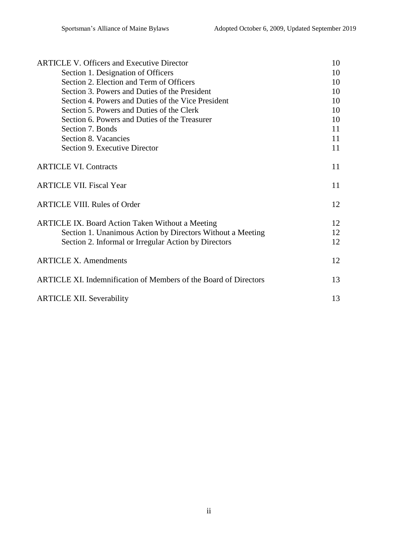| <b>ARTICLE V. Officers and Executive Director</b>                | 10 |
|------------------------------------------------------------------|----|
| Section 1. Designation of Officers                               | 10 |
| Section 2. Election and Term of Officers                         | 10 |
| Section 3. Powers and Duties of the President                    | 10 |
| Section 4. Powers and Duties of the Vice President               | 10 |
| Section 5. Powers and Duties of the Clerk                        | 10 |
| Section 6. Powers and Duties of the Treasurer                    | 10 |
| Section 7. Bonds                                                 | 11 |
| Section 8. Vacancies                                             | 11 |
| Section 9. Executive Director                                    | 11 |
| <b>ARTICLE VI. Contracts</b>                                     | 11 |
| <b>ARTICLE VII. Fiscal Year</b>                                  | 11 |
| <b>ARTICLE VIII. Rules of Order</b>                              | 12 |
| <b>ARTICLE IX. Board Action Taken Without a Meeting</b>          | 12 |
| Section 1. Unanimous Action by Directors Without a Meeting       | 12 |
| Section 2. Informal or Irregular Action by Directors             | 12 |
| <b>ARTICLE X. Amendments</b>                                     | 12 |
| ARTICLE XI. Indemnification of Members of the Board of Directors | 13 |
| <b>ARTICLE XII. Severability</b>                                 | 13 |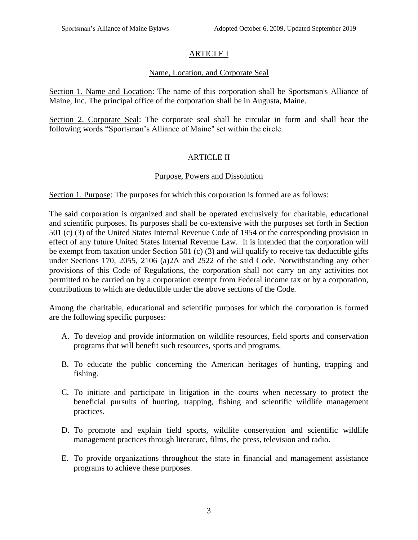#### ARTICLE I

#### Name, Location, and Corporate Seal

Section 1. Name and Location: The name of this corporation shall be Sportsman's Alliance of Maine, Inc. The principal office of the corporation shall be in Augusta, Maine.

Section 2. Corporate Seal: The corporate seal shall be circular in form and shall bear the following words "Sportsman's Alliance of Maine" set within the circle.

#### ARTICLE II

#### Purpose, Powers and Dissolution

Section 1. Purpose: The purposes for which this corporation is formed are as follows:

The said corporation is organized and shall be operated exclusively for charitable, educational and scientific purposes. Its purposes shall be co-extensive with the purposes set forth in Section 501 (c) (3) of the United States Internal Revenue Code of 1954 or the corresponding provision in effect of any future United States Internal Revenue Law. It is intended that the corporation will be exempt from taxation under Section 501 (c) (3) and will qualify to receive tax deductible gifts under Sections 170, 2055, 2106 (a)2A and 2522 of the said Code. Notwithstanding any other provisions of this Code of Regulations, the corporation shall not carry on any activities not permitted to be carried on by a corporation exempt from Federal income tax or by a corporation, contributions to which are deductible under the above sections of the Code.

Among the charitable, educational and scientific purposes for which the corporation is formed are the following specific purposes:

- A. To develop and provide information on wildlife resources, field sports and conservation programs that will benefit such resources, sports and programs.
- B. To educate the public concerning the American heritages of hunting, trapping and fishing.
- C. To initiate and participate in litigation in the courts when necessary to protect the beneficial pursuits of hunting, trapping, fishing and scientific wildlife management practices.
- D. To promote and explain field sports, wildlife conservation and scientific wildlife management practices through literature, films, the press, television and radio.
- E. To provide organizations throughout the state in financial and management assistance programs to achieve these purposes.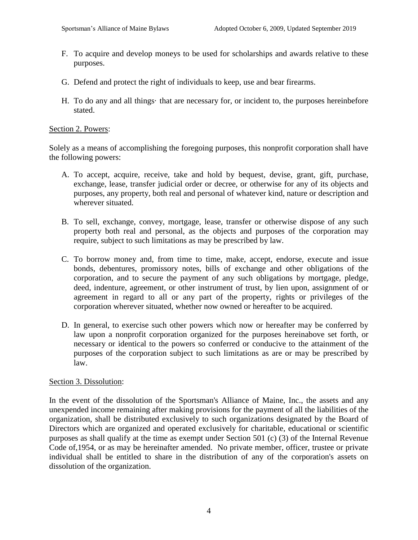- F. To acquire and develop moneys to be used for scholarships and awards relative to these purposes.
- G. Defend and protect the right of individuals to keep, use and bear firearms.
- H. To do any and all things· that are necessary for, or incident to, the purposes hereinbefore stated.

#### Section 2. Powers:

Solely as a means of accomplishing the foregoing purposes, this nonprofit corporation shall have the following powers:

- A. To accept, acquire, receive, take and hold by bequest, devise, grant, gift, purchase, exchange, lease, transfer judicial order or decree, or otherwise for any of its objects and purposes, any property, both real and personal of whatever kind, nature or description and wherever situated.
- B. To sell, exchange, convey, mortgage, lease, transfer or otherwise dispose of any such property both real and personal, as the objects and purposes of the corporation may require, subject to such limitations as may be prescribed by law.
- C. To borrow money and, from time to time, make, accept, endorse, execute and issue bonds, debentures, promissory notes, bills of exchange and other obligations of the corporation, and to secure the payment of any such obligations by mortgage, pledge, deed, indenture, agreement, or other instrument of trust, by lien upon, assignment of or agreement in regard to all or any part of the property, rights or privileges of the corporation wherever situated, whether now owned or hereafter to be acquired.
- D. In general, to exercise such other powers which now or hereafter may be conferred by law upon a nonprofit corporation organized for the purposes hereinabove set forth, or necessary or identical to the powers so conferred or conducive to the attainment of the purposes of the corporation subject to such limitations as are or may be prescribed by law.

#### Section 3. Dissolution:

In the event of the dissolution of the Sportsman's Alliance of Maine, Inc., the assets and any unexpended income remaining after making provisions for the payment of all the liabilities of the organization, shall be distributed exclusively to such organizations designated by the Board of Directors which are organized and operated exclusively for charitable, educational or scientific purposes as shall qualify at the time as exempt under Section 501 (c) (3) of the Internal Revenue Code of,1954, or as may be hereinafter amended. No private member, officer, trustee or private individual shall be entitled to share in the distribution of any of the corporation's assets on dissolution of the organization.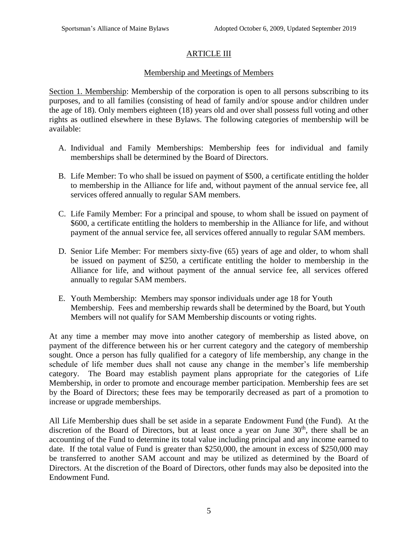#### ARTICLE III

#### Membership and Meetings of Members

Section 1. Membership: Membership of the corporation is open to all persons subscribing to its purposes, and to all families (consisting of head of family and/or spouse and/or children under the age of 18). Only members eighteen (18) years old and over shall possess full voting and other rights as outlined elsewhere in these Bylaws. The following categories of membership will be available:

- A. Individual and Family Memberships: Membership fees for individual and family memberships shall be determined by the Board of Directors.
- B. Life Member: To who shall be issued on payment of \$500, a certificate entitling the holder to membership in the Alliance for life and, without payment of the annual service fee, all services offered annually to regular SAM members.
- C. Life Family Member: For a principal and spouse, to whom shall be issued on payment of \$600, a certificate entitling the holders to membership in the Alliance for life, and without payment of the annual service fee, all services offered annually to regular SAM members.
- D. Senior Life Member: For members sixty-five (65) years of age and older, to whom shall be issued on payment of \$250, a certificate entitling the holder to membership in the Alliance for life, and without payment of the annual service fee, all services offered annually to regular SAM members.
- E. Youth Membership: Members may sponsor individuals under age 18 for Youth Membership. Fees and membership rewards shall be determined by the Board, but Youth Members will not qualify for SAM Membership discounts or voting rights.

At any time a member may move into another category of membership as listed above, on payment of the difference between his or her current category and the category of membership sought. Once a person has fully qualified for a category of life membership, any change in the schedule of life member dues shall not cause any change in the member's life membership category. The Board may establish payment plans appropriate for the categories of Life Membership, in order to promote and encourage member participation. Membership fees are set by the Board of Directors; these fees may be temporarily decreased as part of a promotion to increase or upgrade memberships.

All Life Membership dues shall be set aside in a separate Endowment Fund (the Fund). At the discretion of the Board of Directors, but at least once a year on June  $30<sup>th</sup>$ , there shall be an accounting of the Fund to determine its total value including principal and any income earned to date. If the total value of Fund is greater than \$250,000, the amount in excess of \$250,000 may be transferred to another SAM account and may be utilized as determined by the Board of Directors. At the discretion of the Board of Directors, other funds may also be deposited into the Endowment Fund.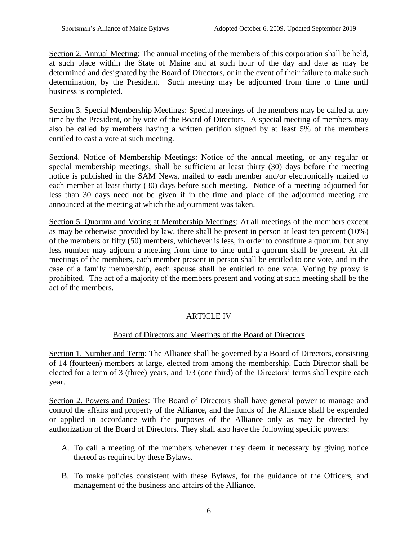Section 2. Annual Meeting: The annual meeting of the members of this corporation shall be held, at such place within the State of Maine and at such hour of the day and date as may be determined and designated by the Board of Directors, or in the event of their failure to make such determination, by the President. Such meeting may be adjourned from time to time until business is completed.

Section 3. Special Membership Meetings: Special meetings of the members may be called at any time by the President, or by vote of the Board of Directors. A special meeting of members may also be called by members having a written petition signed by at least 5% of the members entitled to cast a vote at such meeting.

Section4. Notice of Membership Meetings: Notice of the annual meeting, or any regular or special membership meetings, shall be sufficient at least thirty (30) days before the meeting notice is published in the SAM News, mailed to each member and/or electronically mailed to each member at least thirty (30) days before such meeting. Notice of a meeting adjourned for less than 30 days need not be given if in the time and place of the adjourned meeting are announced at the meeting at which the adjournment was taken.

Section 5. Quorum and Voting at Membership Meetings: At all meetings of the members except as may be otherwise provided by law, there shall be present in person at least ten percent (10%) of the members or fifty (50) members, whichever is less, in order to constitute a quorum, but any less number may adjourn a meeting from time to time until a quorum shall be present. At all meetings of the members, each member present in person shall be entitled to one vote, and in the case of a family membership, each spouse shall be entitled to one vote. Voting by proxy is prohibited. The act of a majority of the members present and voting at such meeting shall be the act of the members.

#### ARTICLE IV

#### Board of Directors and Meetings of the Board of Directors

Section 1. Number and Term: The Alliance shall be governed by a Board of Directors, consisting of 14 (fourteen) members at large, elected from among the membership. Each Director shall be elected for a term of 3 (three) years, and 1/3 (one third) of the Directors' terms shall expire each year.

Section 2. Powers and Duties: The Board of Directors shall have general power to manage and control the affairs and property of the Alliance, and the funds of the Alliance shall be expended or applied in accordance with the purposes of the Alliance only as may be directed by authorization of the Board of Directors. They shall also have the following specific powers:

- A. To call a meeting of the members whenever they deem it necessary by giving notice thereof as required by these Bylaws.
- B. To make policies consistent with these Bylaws, for the guidance of the Officers, and management of the business and affairs of the Alliance.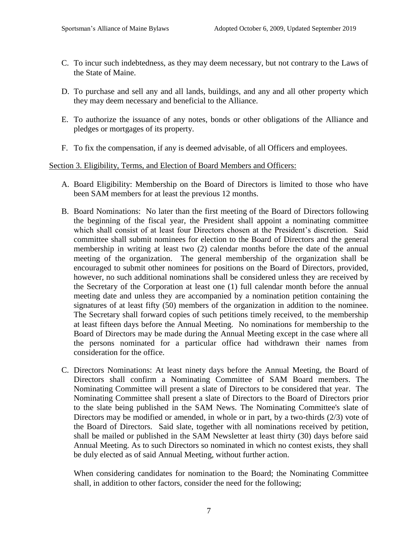- C. To incur such indebtedness, as they may deem necessary, but not contrary to the Laws of the State of Maine.
- D. To purchase and sell any and all lands, buildings, and any and all other property which they may deem necessary and beneficial to the Alliance.
- E. To authorize the issuance of any notes, bonds or other obligations of the Alliance and pledges or mortgages of its property.
- F. To fix the compensation, if any is deemed advisable, of all Officers and employees.

#### Section 3. Eligibility, Terms, and Election of Board Members and Officers:

- A. Board Eligibility: Membership on the Board of Directors is limited to those who have been SAM members for at least the previous 12 months.
- B. Board Nominations: No later than the first meeting of the Board of Directors following the beginning of the fiscal year, the President shall appoint a nominating committee which shall consist of at least four Directors chosen at the President's discretion. Said committee shall submit nominees for election to the Board of Directors and the general membership in writing at least two (2) calendar months before the date of the annual meeting of the organization. The general membership of the organization shall be encouraged to submit other nominees for positions on the Board of Directors, provided, however, no such additional nominations shall be considered unless they are received by the Secretary of the Corporation at least one (1) full calendar month before the annual meeting date and unless they are accompanied by a nomination petition containing the signatures of at least fifty (50) members of the organization in addition to the nominee. The Secretary shall forward copies of such petitions timely received, to the membership at least fifteen days before the Annual Meeting. No nominations for membership to the Board of Directors may be made during the Annual Meeting except in the case where all the persons nominated for a particular office had withdrawn their names from consideration for the office.
- C. Directors Nominations: At least ninety days before the Annual Meeting, the Board of Directors shall confirm a Nominating Committee of SAM Board members. The Nominating Committee will present a slate of Directors to be considered that year. The Nominating Committee shall present a slate of Directors to the Board of Directors prior to the slate being published in the SAM News. The Nominating Committee's slate of Directors may be modified or amended, in whole or in part, by a two-thirds (2/3) vote of the Board of Directors. Said slate, together with all nominations received by petition, shall be mailed or published in the SAM Newsletter at least thirty (30) days before said Annual Meeting. As to such Directors so nominated in which no contest exists, they shall be duly elected as of said Annual Meeting, without further action.

When considering candidates for nomination to the Board; the Nominating Committee shall, in addition to other factors, consider the need for the following;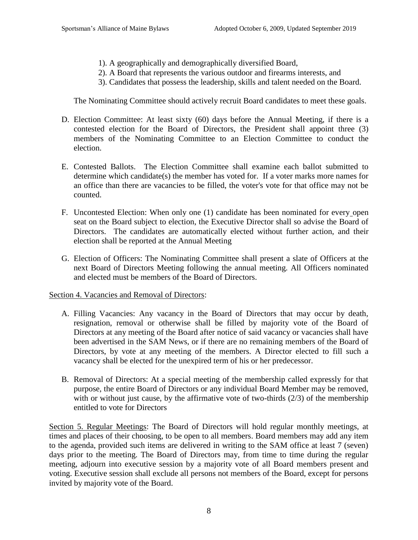- 1). A geographically and demographically diversified Board,
- 2). A Board that represents the various outdoor and firearms interests, and
- 3). Candidates that possess the leadership, skills and talent needed on the Board.

The Nominating Committee should actively recruit Board candidates to meet these goals.

- D. Election Committee: At least sixty (60) days before the Annual Meeting, if there is a contested election for the Board of Directors, the President shall appoint three (3) members of the Nominating Committee to an Election Committee to conduct the election.
- E. Contested Ballots. The Election Committee shall examine each ballot submitted to determine which candidate(s) the member has voted for. If a voter marks more names for an office than there are vacancies to be filled, the voter's vote for that office may not be counted.
- F. Uncontested Election: When only one (1) candidate has been nominated for every open seat on the Board subject to election, the Executive Director shall so advise the Board of Directors. The candidates are automatically elected without further action, and their election shall be reported at the Annual Meeting
- G. Election of Officers: The Nominating Committee shall present a slate of Officers at the next Board of Directors Meeting following the annual meeting. All Officers nominated and elected must be members of the Board of Directors.

#### Section 4. Vacancies and Removal of Directors:

- A. Filling Vacancies: Any vacancy in the Board of Directors that may occur by death, resignation, removal or otherwise shall be filled by majority vote of the Board of Directors at any meeting of the Board after notice of said vacancy or vacancies shall have been advertised in the SAM News, or if there are no remaining members of the Board of Directors, by vote at any meeting of the members. A Director elected to fill such a vacancy shall be elected for the unexpired term of his or her predecessor.
- B. Removal of Directors: At a special meeting of the membership called expressly for that purpose, the entire Board of Directors or any individual Board Member may be removed, with or without just cause, by the affirmative vote of two-thirds  $(2/3)$  of the membership entitled to vote for Directors

Section 5. Regular Meetings: The Board of Directors will hold regular monthly meetings, at times and places of their choosing, to be open to all members. Board members may add any item to the agenda, provided such items are delivered in writing to the SAM office at least 7 (seven) days prior to the meeting. The Board of Directors may, from time to time during the regular meeting, adjourn into executive session by a majority vote of all Board members present and voting. Executive session shall exclude all persons not members of the Board, except for persons invited by majority vote of the Board.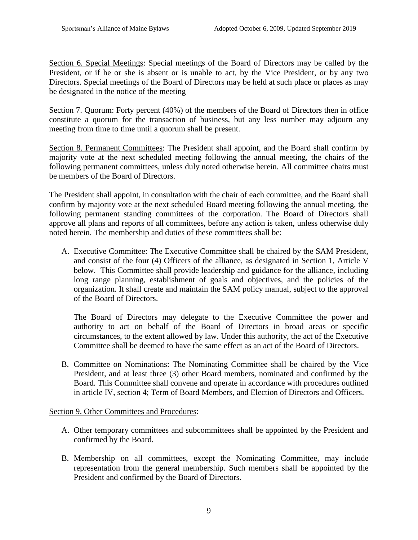Section 6. Special Meetings: Special meetings of the Board of Directors may be called by the President, or if he or she is absent or is unable to act, by the Vice President, or by any two Directors. Special meetings of the Board of Directors may be held at such place or places as may be designated in the notice of the meeting

Section 7. Quorum: Forty percent (40%) of the members of the Board of Directors then in office constitute a quorum for the transaction of business, but any less number may adjourn any meeting from time to time until a quorum shall be present.

Section 8. Permanent Committees: The President shall appoint, and the Board shall confirm by majority vote at the next scheduled meeting following the annual meeting, the chairs of the following permanent committees, unless duly noted otherwise herein. All committee chairs must be members of the Board of Directors.

The President shall appoint, in consultation with the chair of each committee, and the Board shall confirm by majority vote at the next scheduled Board meeting following the annual meeting, the following permanent standing committees of the corporation. The Board of Directors shall approve all plans and reports of all committees, before any action is taken, unless otherwise duly noted herein. The membership and duties of these committees shall be:

A. Executive Committee: The Executive Committee shall be chaired by the SAM President, and consist of the four (4) Officers of the alliance, as designated in Section 1, Article V below. This Committee shall provide leadership and guidance for the alliance, including long range planning, establishment of goals and objectives, and the policies of the organization. It shall create and maintain the SAM policy manual, subject to the approval of the Board of Directors.

The Board of Directors may delegate to the Executive Committee the power and authority to act on behalf of the Board of Directors in broad areas or specific circumstances, to the extent allowed by law. Under this authority, the act of the Executive Committee shall be deemed to have the same effect as an act of the Board of Directors.

B. Committee on Nominations: The Nominating Committee shall be chaired by the Vice President, and at least three (3) other Board members, nominated and confirmed by the Board. This Committee shall convene and operate in accordance with procedures outlined in article IV, section 4; Term of Board Members, and Election of Directors and Officers.

#### Section 9. Other Committees and Procedures:

- A. Other temporary committees and subcommittees shall be appointed by the President and confirmed by the Board.
- B. Membership on all committees, except the Nominating Committee, may include representation from the general membership. Such members shall be appointed by the President and confirmed by the Board of Directors.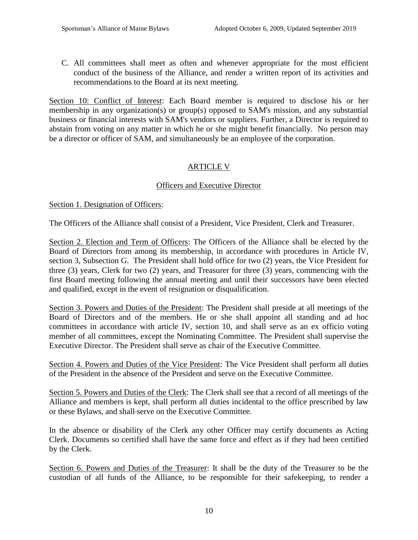C. All committees shall meet as often and whenever appropriate for the most efficient conduct of the business of the Alliance, and render a written report of its activities and recommendations to the Board at its next meeting.

Section 10: Conflict of Interest: Each Board member is required to disclose his or her membership in any organization(s) or group(s) opposed to SAM's mission, and any substantial business or financial interests with SAM's vendors or suppliers. Further, a Director is required to abstain from voting on any matter in which he or she might benefit financially. No person may be a director or officer of SAM, and simultaneously be an employee of the corporation.

#### ARTICLE V

#### Officers and Executive Director

#### Section 1. Designation of Officers:

The Officers of the Alliance shall consist of a President, Vice President, Clerk and Treasurer.

Section 2. Election and Term of Officers: The Officers of the Alliance shall be elected by the Board of Directors from among its membership, in accordance with procedures in Article IV, section 3, Subsection G. The President shall hold office for two (2) years, the Vice President for three (3) years, Clerk for two (2) years, and Treasurer for three (3) years, commencing with the first Board meeting following the annual meeting and until their successors have been elected and qualified, except in the event of resignation or disqualification.

Section 3. Powers and Duties of the President: The President shall preside at all meetings of the Board of Directors and of the members. He or she shall appoint all standing and ad hoc committees in accordance with article IV, section 10, and shall serve as an ex officio voting member of all committees, except the Nominating Committee. The President shall supervise the Executive Director. The President shall serve as chair of the Executive Committee.

Section 4. Powers and Duties of the Vice President: The Vice President shall perform all duties of the President in the absence of the President and serve on the Executive Committee.

Section 5. Powers and Duties of the Clerk: The Clerk shall see that a record of all meetings of the Alliance and members is kept, shall perform all duties incidental to the office prescribed by law or these Bylaws, and shall serve on the Executive Committee.

In the absence or disability of the Clerk any other Officer may certify documents as Acting Clerk. Documents so certified shall have the same force and effect as if they had been certified by the Clerk.

Section 6. Powers and Duties of the Treasurer: It shall be the duty of the Treasurer to be the custodian of all funds of the Alliance, to be responsible for their safekeeping, to render a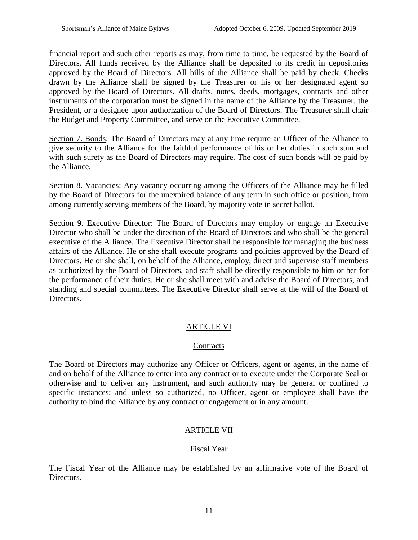financial report and such other reports as may, from time to time, be requested by the Board of Directors. All funds received by the Alliance shall be deposited to its credit in depositories approved by the Board of Directors. All bills of the Alliance shall be paid by check. Checks drawn by the Alliance shall be signed by the Treasurer or his or her designated agent so approved by the Board of Directors. All drafts, notes, deeds, mortgages, contracts and other instruments of the corporation must be signed in the name of the Alliance by the Treasurer, the President, or a designee upon authorization of the Board of Directors. The Treasurer shall chair the Budget and Property Committee, and serve on the Executive Committee.

Section 7. Bonds: The Board of Directors may at any time require an Officer of the Alliance to give security to the Alliance for the faithful performance of his or her duties in such sum and with such surety as the Board of Directors may require. The cost of such bonds will be paid by the Alliance.

Section 8. Vacancies: Any vacancy occurring among the Officers of the Alliance may be filled by the Board of Directors for the unexpired balance of any term in such office or position, from among currently serving members of the Board, by majority vote in secret ballot.

Section 9. Executive Director: The Board of Directors may employ or engage an Executive Director who shall be under the direction of the Board of Directors and who shall be the general executive of the Alliance. The Executive Director shall be responsible for managing the business affairs of the Alliance. He or she shall execute programs and policies approved by the Board of Directors. He or she shall, on behalf of the Alliance, employ, direct and supervise staff members as authorized by the Board of Directors, and staff shall be directly responsible to him or her for the performance of their duties. He or she shall meet with and advise the Board of Directors, and standing and special committees. The Executive Director shall serve at the will of the Board of Directors.

#### ARTICLE VI

#### **Contracts**

The Board of Directors may authorize any Officer or Officers, agent or agents, in the name of and on behalf of the Alliance to enter into any contract or to execute under the Corporate Seal or otherwise and to deliver any instrument, and such authority may be general or confined to specific instances; and unless so authorized, no Officer, agent or employee shall have the authority to bind the Alliance by any contract or engagement or in any amount.

#### ARTICLE VII

#### Fiscal Year

The Fiscal Year of the Alliance may be established by an affirmative vote of the Board of Directors.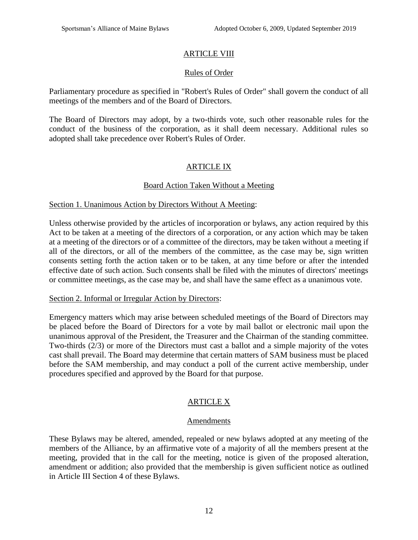#### ARTICLE VIII

#### Rules of Order

Parliamentary procedure as specified in "Robert's Rules of Order" shall govern the conduct of all meetings of the members and of the Board of Directors.

The Board of Directors may adopt, by a two-thirds vote, such other reasonable rules for the conduct of the business of the corporation, as it shall deem necessary. Additional rules so adopted shall take precedence over Robert's Rules of Order.

#### ARTICLE IX

#### Board Action Taken Without a Meeting

#### Section 1. Unanimous Action by Directors Without A Meeting:

Unless otherwise provided by the articles of incorporation or bylaws, any action required by this Act to be taken at a meeting of the directors of a corporation, or any action which may be taken at a meeting of the directors or of a committee of the directors, may be taken without a meeting if all of the directors, or all of the members of the committee, as the case may be, sign written consents setting forth the action taken or to be taken, at any time before or after the intended effective date of such action. Such consents shall be filed with the minutes of directors' meetings or committee meetings, as the case may be, and shall have the same effect as a unanimous vote.

#### Section 2. Informal or Irregular Action by Directors:

Emergency matters which may arise between scheduled meetings of the Board of Directors may be placed before the Board of Directors for a vote by mail ballot or electronic mail upon the unanimous approval of the President, the Treasurer and the Chairman of the standing committee. Two-thirds (2/3) or more of the Directors must cast a ballot and a simple majority of the votes cast shall prevail. The Board may determine that certain matters of SAM business must be placed before the SAM membership, and may conduct a poll of the current active membership, under procedures specified and approved by the Board for that purpose.

#### ARTICLE X

#### Amendments

These Bylaws may be altered, amended, repealed or new bylaws adopted at any meeting of the members of the Alliance, by an affirmative vote of a majority of all the members present at the meeting, provided that in the call for the meeting, notice is given of the proposed alteration, amendment or addition; also provided that the membership is given sufficient notice as outlined in Article III Section 4 of these Bylaws.